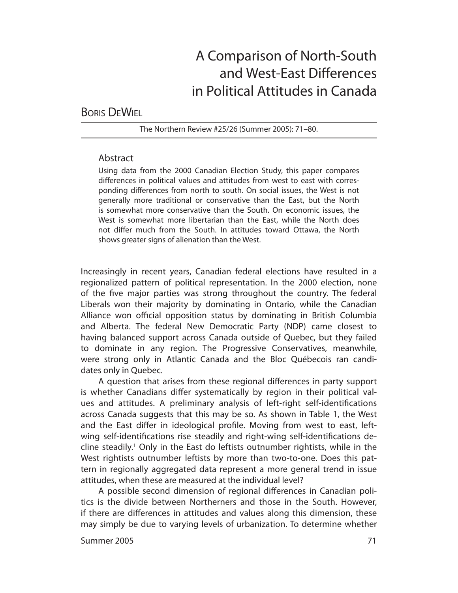# A Comparison of North-South and West-East Differences in Political Attitudes in Canada

## BORIS DEWIEL

The Northern Review #25/26 (Summer 2005): 71–80.

## Abstract

Using data from the 2000 Canadian Election Study, this paper compares differences in political values and attitudes from west to east with corresponding differences from north to south. On social issues, the West is not generally more traditional or conservative than the East, but the North is somewhat more conservative than the South. On economic issues, the West is somewhat more libertarian than the East, while the North does not differ much from the South. In attitudes toward Ottawa, the North shows greater signs of alienation than the West.

Increasingly in recent years, Canadian federal elections have resulted in a regionalized pattern of political representation. In the 2000 election, none of the five major parties was strong throughout the country. The federal Liberals won their majority by dominating in Ontario, while the Canadian Alliance won official opposition status by dominating in British Columbia and Alberta. The federal New Democratic Party (NDP) came closest to having balanced support across Canada outside of Quebec, but they failed to dominate in any region. The Progressive Conservatives, meanwhile, were strong only in Atlantic Canada and the Bloc Québecois ran candidates only in Quebec.

A question that arises from these regional differences in party support is whether Canadians differ systematically by region in their political values and attitudes. A preliminary analysis of left-right self-identifications across Canada suggests that this may be so. As shown in Table 1, the West and the East differ in ideological profile. Moving from west to east, leftwing self-identifications rise steadily and right-wing self-identifications decline steadily.1 Only in the East do leftists outnumber rightists, while in the West rightists outnumber leftists by more than two-to-one. Does this pattern in regionally aggregated data represent a more general trend in issue attitudes, when these are measured at the individual level?

A possible second dimension of regional differences in Canadian politics is the divide between Northerners and those in the South. However, if there are differences in attitudes and values along this dimension, these may simply be due to varying levels of urbanization. To determine whether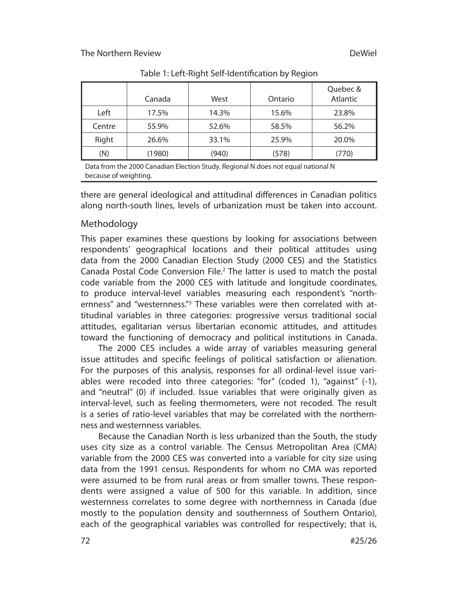|        | Canada | West  | Ontario | Quebec &<br>Atlantic |
|--------|--------|-------|---------|----------------------|
| Left   | 17.5%  | 14.3% | 15.6%   | 23.8%                |
| Centre | 55.9%  | 52.6% | 58.5%   | 56.2%                |
| Right  | 26.6%  | 33.1% | 25.9%   | 20.0%                |
| (N)    | (1980) | (940) | (578)   | (770)                |

Table 1: Left-Right Self-Identification by Region

Data from the 2000 Canadian Election Study. Regional N does not equal national N because of weighting.

there are general ideological and attitudinal differences in Canadian politics along north-south lines, levels of urbanization must be taken into account.

## Methodology

This paper examines these questions by looking for associations between respondents' geographical locations and their political attitudes using data from the 2000 Canadian Election Study (2000 CES) and the Statistics Canada Postal Code Conversion File.<sup>2</sup> The latter is used to match the postal code variable from the 2000 CES with latitude and longitude coordinates, to produce interval-level variables measuring each respondent's "northernness" and "westernness."<sup>3</sup> These variables were then correlated with attitudinal variables in three categories: progressive versus traditional social attitudes, egalitarian versus libertarian economic attitudes, and attitudes toward the functioning of democracy and political institutions in Canada.

The 2000 CES includes a wide array of variables measuring general issue attitudes and specific feelings of political satisfaction or alienation. For the purposes of this analysis, responses for all ordinal-level issue variables were recoded into three categories: "for" (coded 1), "against" (-1), and "neutral" (0) if included. Issue variables that were originally given as interval-level, such as feeling thermometers, were not recoded. The result is a series of ratio-level variables that may be correlated with the northernness and westernness variables.

Because the Canadian North is less urbanized than the South, the study uses city size as a control variable. The Census Metropolitan Area (CMA) variable from the 2000 CES was converted into a variable for city size using data from the 1991 census. Respondents for whom no CMA was reported were assumed to be from rural areas or from smaller towns. These respondents were assigned a value of 500 for this variable. In addition, since westernness correlates to some degree with northernness in Canada (due mostly to the population density and southernness of Southern Ontario), each of the geographical variables was controlled for respectively; that is,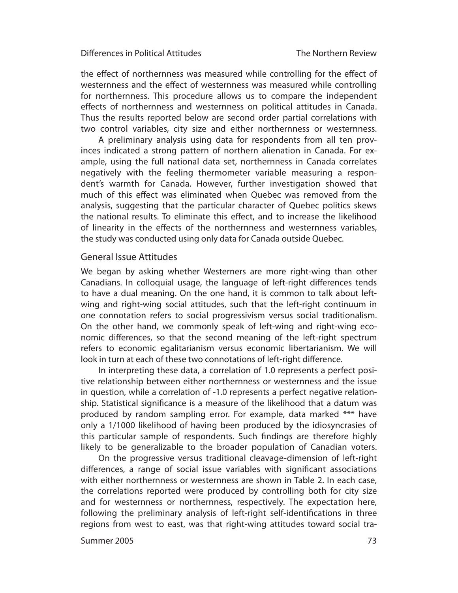#### Differences in Political Attitudes

the effect of northernness was measured while controlling for the effect of westernness and the effect of westernness was measured while controlling for northernness. This procedure allows us to compare the independent effects of northernness and westernness on political attitudes in Canada. Thus the results reported below are second order partial correlations with two control variables, city size and either northernness or westernness.

A preliminary analysis using data for respondents from all ten provinces indicated a strong pattern of northern alienation in Canada. For example, using the full national data set, northernness in Canada correlates negatively with the feeling thermometer variable measuring a respondent's warmth for Canada. However, further investigation showed that much of this effect was eliminated when Quebec was removed from the analysis, suggesting that the particular character of Quebec politics skews the national results. To eliminate this effect, and to increase the likelihood of linearity in the effects of the northernness and westernness variables, the study was conducted using only data for Canada outside Quebec.

#### General Issue Attitudes

We began by asking whether Westerners are more right-wing than other Canadians. In colloquial usage, the language of left-right differences tends to have a dual meaning. On the one hand, it is common to talk about leftwing and right-wing social attitudes, such that the left-right continuum in one con notation refers to social progressivism versus social traditionalism. On the other hand, we commonly speak of left-wing and right-wing economic differences, so that the second meaning of the left-right spectrum refers to economic egalitarianism versus economic libertarianism. We will look in turn at each of these two connotations of left-right difference.

In interpreting these data, a correlation of 1.0 represents a perfect positive relationship between either northernness or westernness and the issue in question, while a correlation of -1.0 represents a perfect negative relationship. Statistical significance is a measure of the likelihood that a datum was produced by random sampling error. For example, data marked \*\*\* have only a 1/1000 likelihood of having been produced by the idiosyncrasies of this particular sample of respondents. Such findings are therefore highly likely to be generalizable to the broader population of Canadian voters.

On the progressive versus traditional cleavage-dimension of left-right differences, a range of social issue variables with significant associations with either northernness or westernness are shown in Table 2. In each case, the correlations reported were produced by controlling both for city size and for westernness or northernness, respectively. The expectation here, following the preliminary analysis of left-right self-identifications in three regions from west to east, was that right-wing attitudes toward social tra-

#### Summer 2005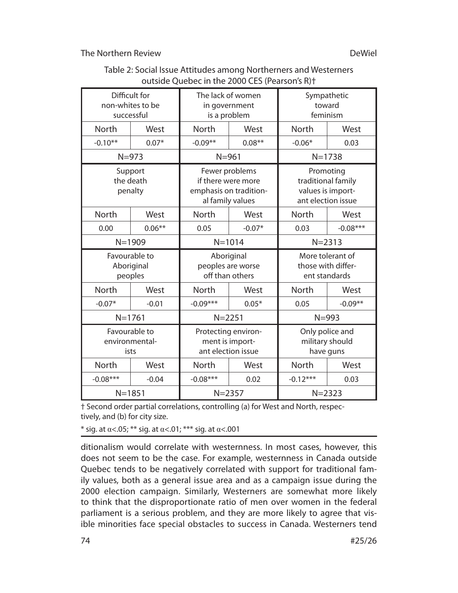| 6000 CHAIRS III CHE 2000 CLO (I COLONII) IV     |           |                                                                                    |           |                                                                            |            |  |  |
|-------------------------------------------------|-----------|------------------------------------------------------------------------------------|-----------|----------------------------------------------------------------------------|------------|--|--|
| Difficult for<br>non-whites to be<br>successful |           | The lack of women<br>in government<br>is a problem                                 |           | Sympathetic<br>toward<br>feminism                                          |            |  |  |
| North                                           | West      | North                                                                              | West      | North                                                                      | West       |  |  |
| $-0.10**$                                       | $0.07*$   | $-0.09**$                                                                          | $0.08***$ | $-0.06*$                                                                   | 0.03       |  |  |
| $N = 973$                                       |           | $N = 961$                                                                          |           | $N = 1738$                                                                 |            |  |  |
| Support<br>the death<br>penalty                 |           | Fewer problems<br>if there were more<br>emphasis on tradition-<br>al family values |           | Promoting<br>traditional family<br>values is import-<br>ant election issue |            |  |  |
| North                                           | West      | North                                                                              | West      | North                                                                      | West       |  |  |
| 0.00                                            | $0.06***$ | 0.05                                                                               | $-0.07*$  | 0.03                                                                       | $-0.08***$ |  |  |
| $N = 1909$                                      |           | $N = 1014$                                                                         |           | $N = 2313$                                                                 |            |  |  |
| Favourable to<br>Aboriginal<br>peoples          |           | Aboriginal<br>peoples are worse<br>off than others                                 |           | More tolerant of<br>those with differ-<br>ent standards                    |            |  |  |
| North                                           | West      | North                                                                              | West      | North                                                                      | West       |  |  |
| $-0.07*$                                        | $-0.01$   | $-0.09***$                                                                         | $0.05*$   | 0.05                                                                       | $-0.09**$  |  |  |
| $N = 1761$                                      |           | $N = 2251$                                                                         |           | $N = 993$                                                                  |            |  |  |
| Favourable to<br>environmental-<br>ists         |           | Protecting environ-<br>ment is import-<br>ant election issue                       |           | Only police and<br>military should<br>have guns                            |            |  |  |
| North                                           | West      | North                                                                              | West      | <b>North</b>                                                               | West       |  |  |
| $-0.08***$                                      | $-0.04$   | $-0.08***$                                                                         | 0.02      | $-0.12***$                                                                 | 0.03       |  |  |
| $N = 1851$                                      |           | $N = 2357$                                                                         |           | $N = 2323$                                                                 |            |  |  |

## Table 2: Social Issue Attitudes among Northerners and Westerners Outside Quebec in the 2000 CES (Pearson's R)+

+ Second order partial correlations, controlling (a) for West and North, respectively, and (b) for city size.

\* sig. at  $\alpha$ <.05; \*\* sig. at  $\alpha$ <.01; \*\*\* sig. at  $\alpha$ <.001

ditionalism would correlate with westernness. In most cases, however, this does not seem to be the case. For example, westernness in Canada outside Quebec tends to be negatively correlated with support for traditional family values, both as a general issue area and as a campaign issue during the 2000 election campaign. Similarly, Westerners are somewhat more likely to think that the disproportionate ratio of men over women in the federal parliament is a serious problem, and they are more likely to agree that visible minorities face special obstacles to success in Canada. Westerners tend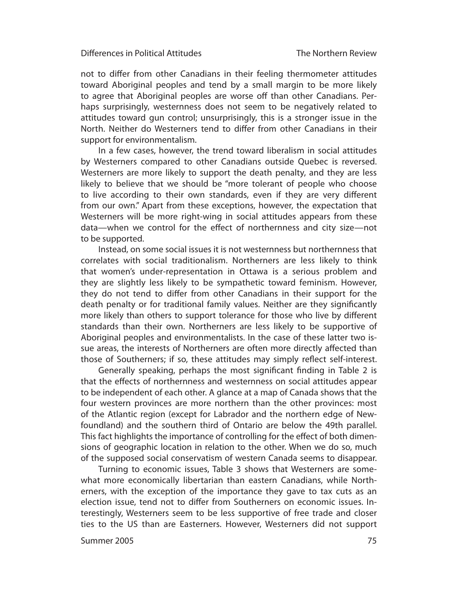not to differ from other Canadians in their feeling thermometer attitudes toward Aboriginal peoples and tend by a small margin to be more likely to agree that Aboriginal peoples are worse off than other Canadians. Perhaps surprisingly, westernness does not seem to be negatively related to attitudes toward gun control; unsurprisingly, this is a stronger issue in the North. Neither do Westerners tend to differ from other Canadians in their support for environmentalism.

In a few cases, however, the trend toward liberalism in social attitudes by Westerners compared to other Canadians outside Quebec is reversed. Westerners are more likely to support the death penalty, and they are less likely to believe that we should be "more tolerant of people who choose to live according to their own standards, even if they are very different from our own." Apart from these exceptions, however, the expectation that Westerners will be more right-wing in social attitudes appears from these data—when we control for the effect of northernness and city size—not to be supported.

Instead, on some social issues it is not westernness but northernness that correlates with social traditionalism. Northerners are less likely to think that women's under-representation in Ottawa is a serious problem and they are slightly less likely to be sympathetic toward feminism. However, they do not tend to differ from other Canadians in their support for the death penalty or for traditional family values. Neither are they significantly more likely than others to support tolerance for those who live by different standards than their own. Northerners are less likely to be supportive of Aboriginal peoples and environmentalists. In the case of these latter two issue areas, the interests of Northerners are often more directly affected than those of Southerners; if so, these attitudes may simply reflect self-interest.

Generally speaking, perhaps the most significant finding in Table 2 is that the effects of northernness and westernness on social attitudes appear to be independent of each other. A glance at a map of Canada shows that the four western provinces are more northern than the other provinces: most of the Atlantic region (except for Labrador and the northern edge of Newfoundland) and the southern third of Ontario are below the 49th parallel. This fact highlights the importance of controlling for the effect of both dimensions of geographic location in relation to the other. When we do so, much of the supposed social conservatism of western Canada seems to disappear.

Turning to economic issues, Table 3 shows that Westerners are somewhat more economically libertarian than eastern Canadians, while Northerners, with the exception of the importance they gave to tax cuts as an election issue, tend not to differ from Southerners on economic issues. Interestingly, Westerners seem to be less supportive of free trade and closer ties to the US than are Easterners. However, Westerners did not support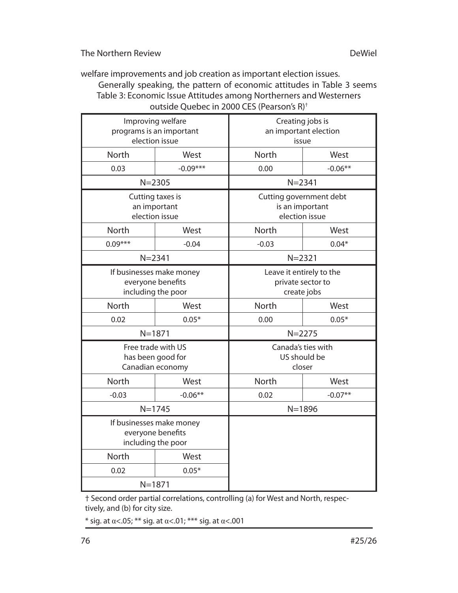welfare improvements and job creation as important election issues. Generally speaking, the pattern of economic attitudes in Table 3 seems Table 3: Economic Issue Attitudes among Northerners and Westerners outside Quebec in 2000 CES (Pearson's R)†

| Improving welfare<br>programs is an important<br>election issue     |                                                    | Creating jobs is<br>an important election<br>issue           |           |  |
|---------------------------------------------------------------------|----------------------------------------------------|--------------------------------------------------------------|-----------|--|
| North                                                               | West                                               | North                                                        | West      |  |
| 0.03                                                                | $-0.09***$                                         | 0.00                                                         | $-0.06**$ |  |
|                                                                     | $N = 2305$                                         | $N = 2341$                                                   |           |  |
|                                                                     | Cutting taxes is<br>an important<br>election issue | Cutting government debt<br>is an important<br>election issue |           |  |
| North                                                               | West                                               | North                                                        | West      |  |
| $0.09***$                                                           | $-0.04$                                            | $-0.03$                                                      | $0.04*$   |  |
| $N = 2341$                                                          |                                                    | $N = 2321$                                                   |           |  |
| If businesses make money<br>everyone benefits<br>including the poor |                                                    | Leave it entirely to the<br>private sector to<br>create jobs |           |  |
| North                                                               | West                                               | North                                                        | West      |  |
| 0.02                                                                | $0.05*$                                            | 0.00                                                         | $0.05*$   |  |
| $N = 1871$                                                          |                                                    | $N = 2275$                                                   |           |  |
| Free trade with US<br>has been good for<br>Canadian economy         |                                                    | Canada's ties with<br>US should be<br>closer                 |           |  |
| <b>North</b>                                                        | West                                               | <b>North</b>                                                 | West      |  |
| $-0.03$                                                             | $-0.06**$                                          | 0.02                                                         | $-0.07**$ |  |
|                                                                     | $N = 1745$                                         | $N = 1896$                                                   |           |  |
| If businesses make money<br>everyone benefits<br>including the poor |                                                    |                                                              |           |  |
| North                                                               | West                                               |                                                              |           |  |
| 0.02                                                                | $0.05*$                                            |                                                              |           |  |
| $N = 1871$                                                          |                                                    |                                                              |           |  |

† Second order partial correlations, controlling (a) for West and North, respectively, and (b) for city size.

 $*$  sig. at α<.05; \*\* sig. at α<.01; \*\*\* sig. at α<.001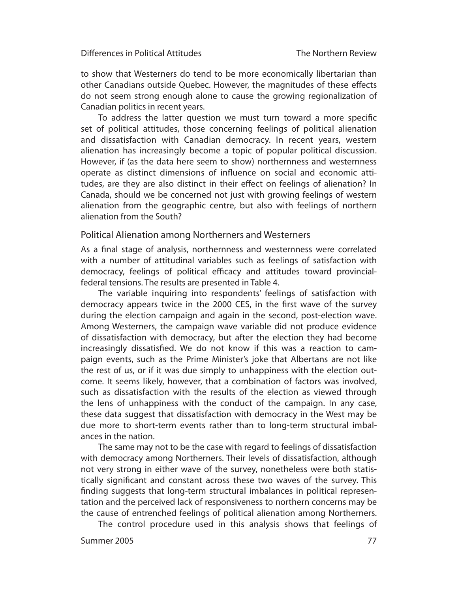to show that Westerners do tend to be more economically libertarian than other Canadians outside Quebec. However, the magnitudes of these effects do not seem strong enough alone to cause the growing regionalization of Canadian politics in recent years.

To address the latter question we must turn toward a more specific set of political attitudes, those concerning feelings of political alienation and dissatisfaction with Canadian democracy. In recent years, western alienation has increasingly become a topic of popular political discussion. However, if (as the data here seem to show) northernness and westernness operate as distinct dimensions of influence on social and economic attitudes, are they are also distinct in their effect on feelings of alienation? In Canada, should we be concerned not just with growing feelings of western alienation from the geographic centre, but also with feelings of northern alienation from the South?

## Political Alienation among Northerners and Westerners

As a final stage of analysis, northernness and westernness were correlated with a number of attitudinal variables such as feelings of satisfaction with democracy, feelings of political efficacy and attitudes toward provincialfederal tensions. The results are presented in Table 4.

The variable inquiring into respondents' feelings of satisfaction with democracy appears twice in the 2000 CES, in the first wave of the survey during the election campaign and again in the second, post-election wave. Among Westerners, the campaign wave variable did not produce evidence of dissatisfaction with democracy, but after the election they had become increasingly dissatisfied. We do not know if this was a reaction to campaign events, such as the Prime Minister's joke that Albertans are not like the rest of us, or if it was due simply to unhappiness with the election outcome. It seems likely, however, that a combination of factors was involved, such as dissatisfaction with the results of the election as viewed through the lens of unhappiness with the conduct of the campaign. In any case, these data suggest that dissatisfaction with democracy in the West may be due more to short-term events rather than to long-term structural imbalances in the nation.

The same may not to be the case with regard to feelings of dissatisfaction with democracy among Northerners. Their levels of dissatisfaction, although not very strong in either wave of the survey, nonetheless were both statistically significant and constant across these two waves of the survey. This finding suggests that long-term structural imbalances in political representation and the perceived lack of responsiveness to northern concerns may be the cause of entrenched feelings of political alienation among Northerners.

The control procedure used in this analysis shows that feelings of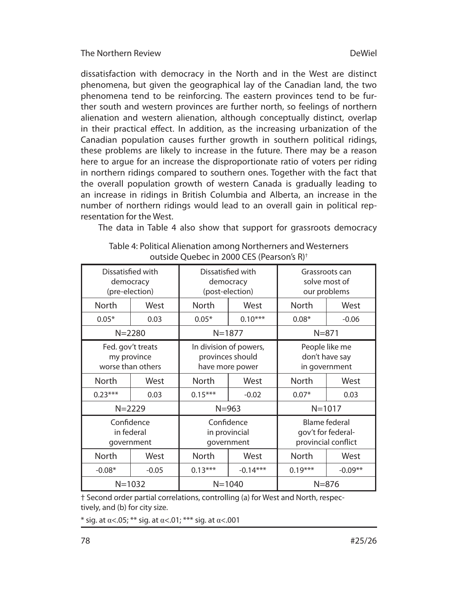The Northern Review

dissatisfaction with democracy in the North and in the West are distinct phenomena, but given the geographical lay of the Canadian land, the two phenomena tend to be reinforcing. The eastern provinces tend to be further south and western provinces are further north, so feelings of northern alienation and western alienation, although conceptually distinct, overlap in their practical effect. In addition, as the increasing urbanization of the Canadian population causes further growth in southern political ridings, these problems are likely to increase in the future. There may be a reason here to argue for an increase the disproportionate ratio of voters per riding in northern ridings compared to southern ones. Together with the fact that the overall population growth of western Canada is gradually leading to an increase in ridings in British Columbia and Alberta, an increase in the number of northern ridings would lead to an overall gain in political representation for the West.

The data in Table 4 also show that support for grassroots democracy

## Table 4: Political Alienation among Northerners and Westerners outside Ouebec in 2000 CES (Pearson's R)<sup>†</sup>

| Dissatisfied with<br>democracy<br>(pre-election)      |         | Dissatisfied with<br>democracy<br>(post-election)             |            | Grassroots can<br>solve most of<br>our problems                   |           |
|-------------------------------------------------------|---------|---------------------------------------------------------------|------------|-------------------------------------------------------------------|-----------|
| North                                                 | West    | <b>North</b>                                                  | West       | North                                                             | West      |
| $0.05*$                                               | 0.03    | $0.05*$                                                       | $0.10***$  | $0.08*$                                                           | $-0.06$   |
| $N = 2280$                                            |         | $N = 1877$                                                    |            | $N = 871$                                                         |           |
| Fed. gov't treats<br>my province<br>worse than others |         | In division of powers,<br>provinces should<br>have more power |            | People like me<br>don't have say<br>in government                 |           |
| North                                                 | West    | <b>North</b>                                                  | West       | North                                                             | West      |
| $0.23***$                                             | 0.03    | $0.15***$                                                     | $-0.02$    | $0.07*$                                                           | 0.03      |
| $N = 2229$                                            |         | $N = 963$                                                     |            | $N = 1017$                                                        |           |
| Confidence<br>in federal<br>government                |         | Confidence<br>in provincial<br>government                     |            | <b>Blame federal</b><br>gov't for federal-<br>provincial conflict |           |
| North                                                 | West    | North                                                         | West       | North                                                             | West      |
| $-0.08*$                                              | $-0.05$ | $0.13***$                                                     | $-0.14***$ | $0.19***$                                                         | $-0.09**$ |
| $N = 1032$                                            |         | $N = 1040$                                                    |            | $N = 876$                                                         |           |

+ Second order partial correlations, controlling (a) for West and North, respectively, and (b) for city size.

\* sig. at  $\alpha$ <.05; \*\* sig. at  $\alpha$ <.01; \*\*\* sig. at  $\alpha$ <.001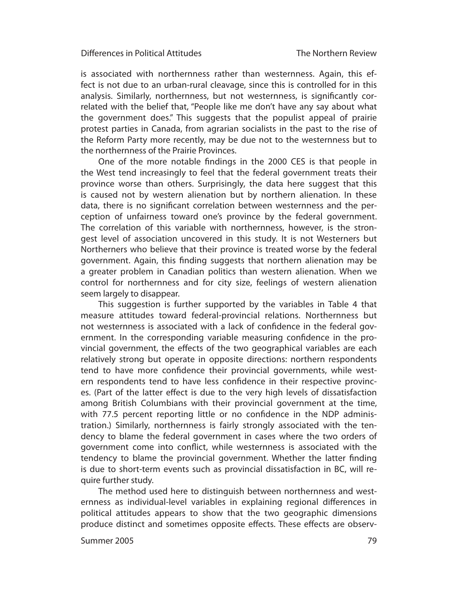is associated with northernness rather than westernness. Again, this effect is not due to an urban-rural cleavage, since this is controlled for in this analysis. Similarly, northernness, but not westernness, is significantly correlated with the belief that, "People like me don't have any say about what the govern ment does." This suggests that the populist appeal of prairie protest parties in Canada, from agrarian socialists in the past to the rise of the Reform Party more recently, may be due not to the westernness but to the northernness of the Prairie Provinces.

One of the more notable findings in the 2000 CES is that people in the West tend increasingly to feel that the federal government treats their province worse than others. Surprisingly, the data here suggest that this is caused not by western alienation but by northern alienation. In these data, there is no significant correlation between westernness and the perception of unfairness toward one's province by the federal government. The correlation of this variable with northernness, however, is the strongest level of association uncovered in this study. It is not Westerners but Northerners who believe that their province is treated worse by the federal government. Again, this finding suggests that northern alienation may be a greater problem in Canadian politics than western alienation. When we control for northernness and for city size, feelings of western alienation seem largely to disappear.

This suggestion is further supported by the variables in Table 4 that measure attitudes toward federal-provincial relations. Northernness but not westernness is associated with a lack of confidence in the federal government. In the corresponding variable measuring confidence in the provincial government, the effects of the two geographical variables are each relatively strong but operate in opposite directions: northern respondents tend to have more confidence their provincial governments, while western respondents tend to have less confidence in their respective provinces. (Part of the latter effect is due to the very high levels of dissatisfaction among British Columbians with their provincial government at the time, with 77.5 percent reporting little or no confidence in the NDP administration.) Similarly, northernness is fairly strongly associated with the tendency to blame the federal government in cases where the two orders of government come into conflict, while westernness is associated with the tendency to blame the provincial government. Whether the latter finding is due to short-term events such as provincial dissatisfaction in BC, will require further study.

The method used here to distinguish between northernness and westernness as individual-level variables in explaining regional differences in political attitudes appears to show that the two geographic dimensions produce distinct and sometimes opposite effects. These effects are observ-